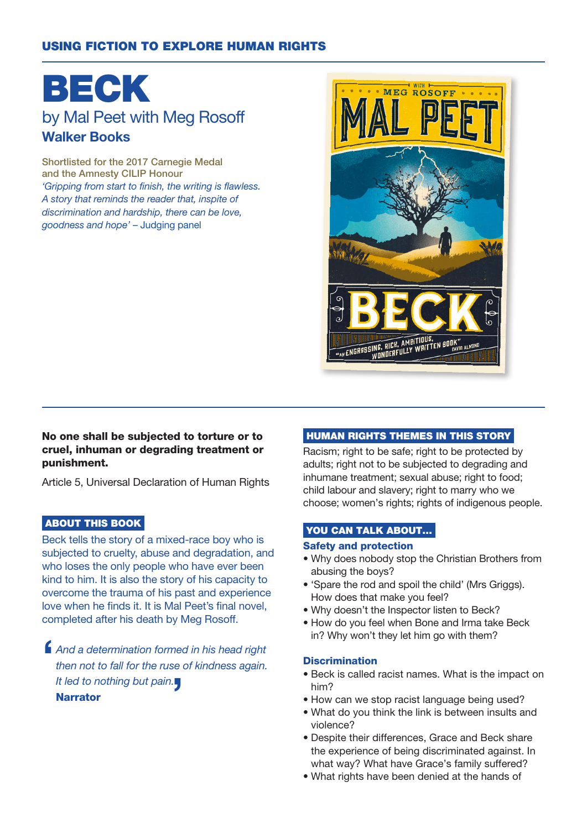## USING FICTION TO EXPLORE HUMAN RIGHTS

# BECK by Mal Peet with Meg Rosoff Walker Books

Shortlisted for the 2017 Carnegie Medal and the Amnesty CILIP Honour 'Gripping from start to finish, the writing is flawless. A story that reminds the reader that, inspite of discrimination and hardship, there can be love, goodness and hope' – Judging panel



### No one shall be subjected to torture or to cruel, inhuman or degrading treatment or punishment.

Article 5, Universal Declaration of Human Rights

## ABOUT THIS BOOK

Beck tells the story of a mixed-race boy who is subjected to cruelty, abuse and degradation, and who loses the only people who have ever been kind to him. It is also the story of his capacity to overcome the trauma of his past and experience love when he finds it. It is Mal Peet's final novel, completed after his death by Meg Rosoff.

 $\blacksquare$ And a determination formed in his head right then not to fall for the ruse of kindness again. It led to nothing but pain. Narrator

#### HUMAN RIGHTS THEMES IN THIS STORY

Racism; right to be safe; right to be protected by adults; right not to be subjected to degrading and inhumane treatment; sexual abuse; right to food; child labour and slavery; right to marry who we choose; women's rights; rights of indigenous people.

## YOU CAN TALK ABOUT...

#### Safety and protection

- Why does nobody stop the Christian Brothers from abusing the boys?
- 'Spare the rod and spoil the child' (Mrs Griggs). How does that make you feel?
- Why doesn't the Inspector listen to Beck?
- How do you feel when Bone and Irma take Beck in? Why won't they let him go with them?

#### **Discrimination**

- Beck is called racist names. What is the impact on him?
- How can we stop racist language being used?
- What do you think the link is between insults and violence?
- Despite their differences, Grace and Beck share the experience of being discriminated against. In what way? What have Grace's family suffered?
- What rights have been denied at the hands of